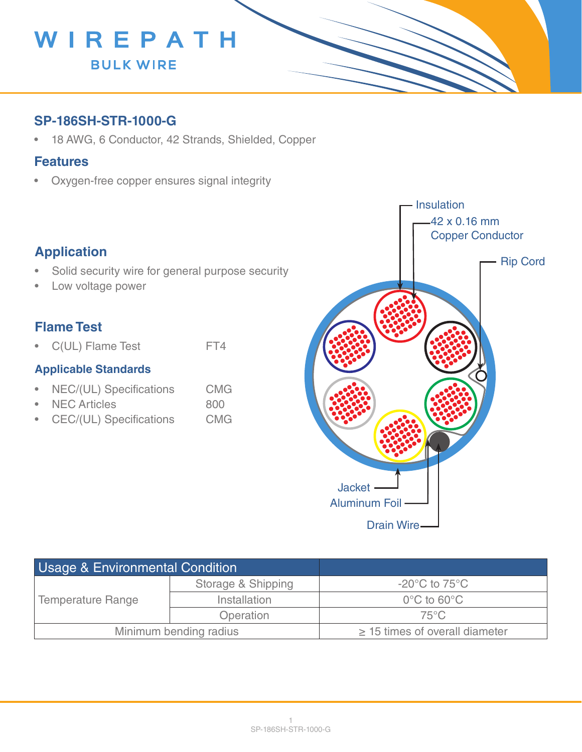

## **SP-186SH-STR-1000-G**

• 18 AWG, 6 Conductor, 42 Strands, Shielded, Copper

#### **Features**

• Oxygen-free copper ensures signal integrity

## **Application**

- Solid security wire for general purpose security
- Low voltage power

## **Flame Test**

• C(UL) Flame Test FT4

#### **Applicable Standards**

- NEC/(UL) Specifications CMG
- NEC Articles 800
- CEC/(UL) Specifications CMG



| <b>Usage &amp; Environmental Condition</b> |                    |                                     |
|--------------------------------------------|--------------------|-------------------------------------|
| Temperature Range                          | Storage & Shipping | $-20^{\circ}$ C to 75 $^{\circ}$ C  |
|                                            | Installation       | $0^{\circ}$ C to 60 $^{\circ}$ C    |
|                                            | Operation          | $75^{\circ}$ C                      |
| Minimum bending radius                     |                    | $\geq$ 15 times of overall diameter |